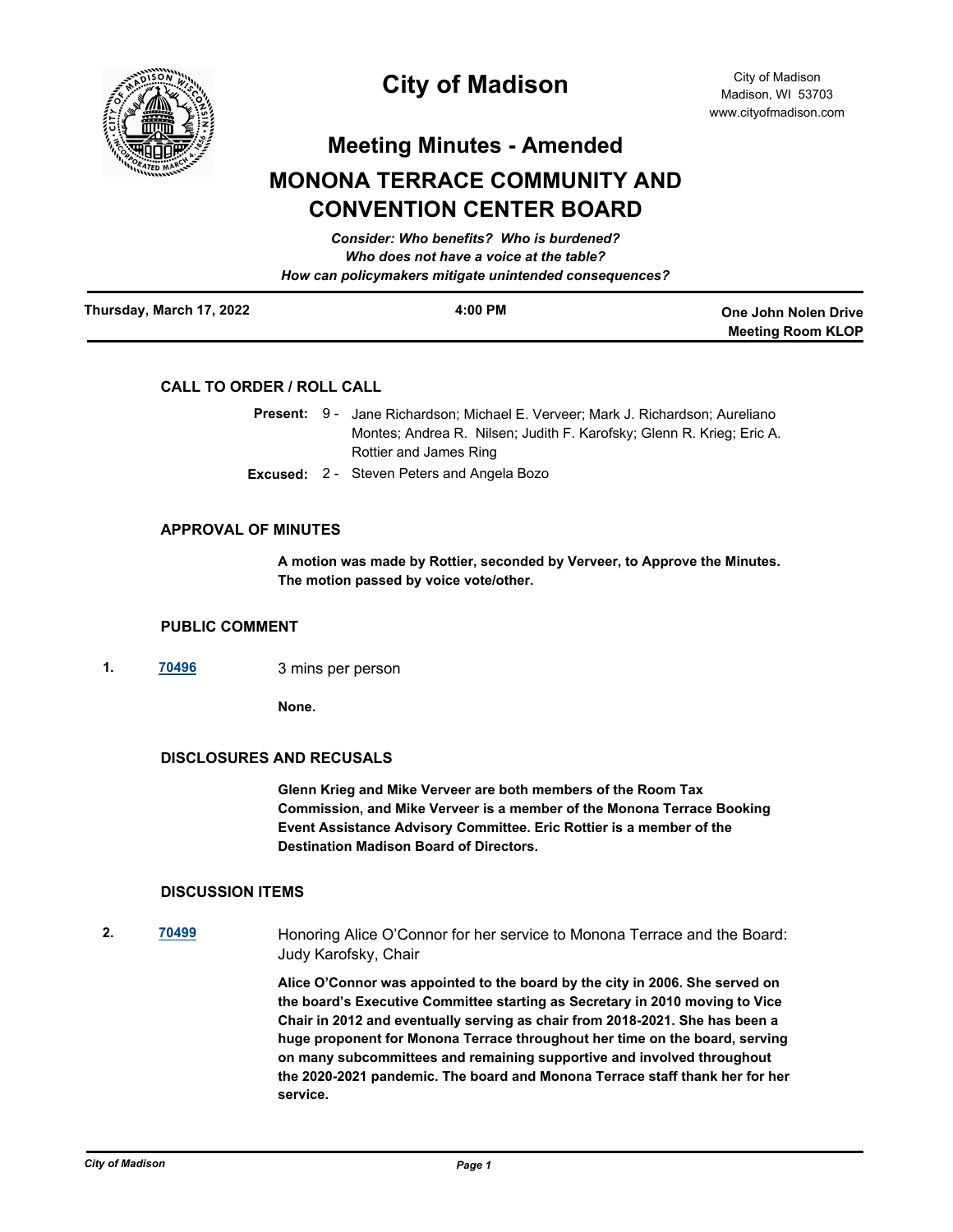

# **City of Madison**

**Meeting Room KLOP**

**Meeting Minutes - Amended**

# **MONONA TERRACE COMMUNITY AND CONVENTION CENTER BOARD**

| Thursday, March 17, 2022 | 4:00 PM                                                | <b>One John Nolen Drive</b> |
|--------------------------|--------------------------------------------------------|-----------------------------|
|                          | How can policymakers mitigate unintended consequences? |                             |
|                          | Who does not have a voice at the table?                |                             |
|                          | Consider: Who benefits? Who is burdened?               |                             |

## **CALL TO ORDER / ROLL CALL**

- Present: 9 Jane Richardson; Michael E. Verveer; Mark J. Richardson; Aureliano Montes; Andrea R. Nilsen; Judith F. Karofsky; Glenn R. Krieg; Eric A. Rottier and James Ring
- **Excused:** 2 Steven Peters and Angela Bozo

#### **APPROVAL OF MINUTES**

**A motion was made by Rottier, seconded by Verveer, to Approve the Minutes. The motion passed by voice vote/other.**

## **PUBLIC COMMENT**

**1. [70496](http://madison.legistar.com/gateway.aspx?m=l&id=/matter.aspx?key=82557)** 3 mins per person

**None.**

#### **DISCLOSURES AND RECUSALS**

**Glenn Krieg and Mike Verveer are both members of the Room Tax Commission, and Mike Verveer is a member of the Monona Terrace Booking Event Assistance Advisory Committee. Eric Rottier is a member of the Destination Madison Board of Directors.**

#### **DISCUSSION ITEMS**

**2. [70499](http://madison.legistar.com/gateway.aspx?m=l&id=/matter.aspx?key=82558)** Honoring Alice O'Connor for her service to Monona Terrace and the Board: Judy Karofsky, Chair

> **Alice O'Connor was appointed to the board by the city in 2006. She served on the board's Executive Committee starting as Secretary in 2010 moving to Vice Chair in 2012 and eventually serving as chair from 2018-2021. She has been a huge proponent for Monona Terrace throughout her time on the board, serving on many subcommittees and remaining supportive and involved throughout the 2020-2021 pandemic. The board and Monona Terrace staff thank her for her service.**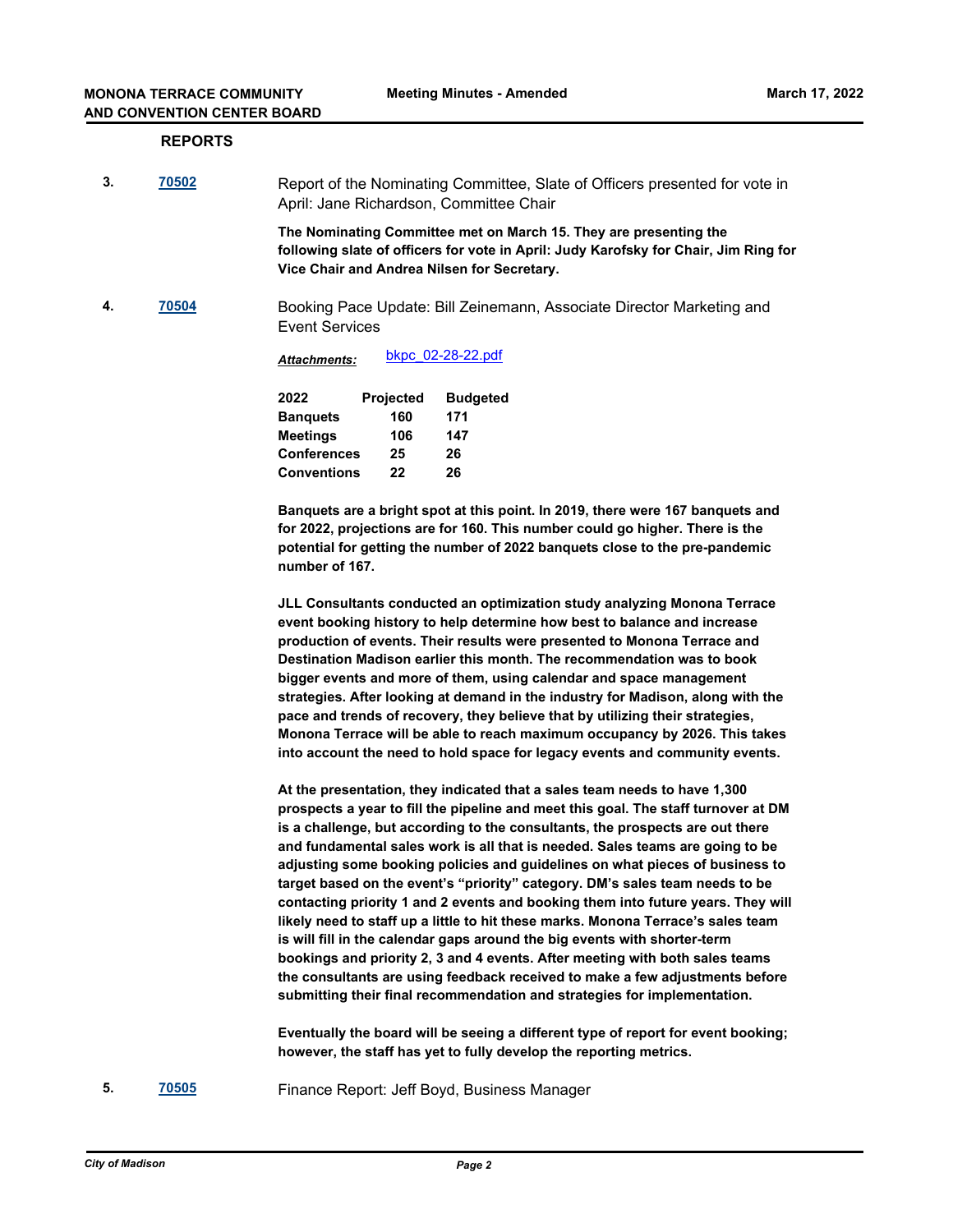#### **REPORTS**

**3. [70502](http://madison.legistar.com/gateway.aspx?m=l&id=/matter.aspx?key=82559)** Report of the Nominating Committee, Slate of Officers presented for vote in April: Jane Richardson, Committee Chair

> **The Nominating Committee met on March 15. They are presenting the following slate of officers for vote in April: Judy Karofsky for Chair, Jim Ring for Vice Chair and Andrea Nilsen for Secretary.**

**4. [70504](http://madison.legistar.com/gateway.aspx?m=l&id=/matter.aspx?key=82561)** Booking Pace Update: Bill Zeinemann, Associate Director Marketing and Event Services

*Attachments:* [bkpc\\_02-28-22.pdf](http://madison.legistar.com/gateway.aspx?M=F&ID=57b2003c-a13a-4cc6-90d8-b45fac0ffd3f.pdf)

| <b>Projected</b>  | <b>Budgeted</b> |
|-------------------|-----------------|
| 160               | 171             |
| 106               | 147             |
| Conferences<br>25 | 26              |
| Conventions<br>22 | 26              |
|                   |                 |

**Banquets are a bright spot at this point. In 2019, there were 167 banquets and for 2022, projections are for 160. This number could go higher. There is the potential for getting the number of 2022 banquets close to the pre-pandemic number of 167.**

**JLL Consultants conducted an optimization study analyzing Monona Terrace event booking history to help determine how best to balance and increase production of events. Their results were presented to Monona Terrace and Destination Madison earlier this month. The recommendation was to book bigger events and more of them, using calendar and space management strategies. After looking at demand in the industry for Madison, along with the pace and trends of recovery, they believe that by utilizing their strategies, Monona Terrace will be able to reach maximum occupancy by 2026. This takes into account the need to hold space for legacy events and community events.**

**At the presentation, they indicated that a sales team needs to have 1,300 prospects a year to fill the pipeline and meet this goal. The staff turnover at DM is a challenge, but according to the consultants, the prospects are out there and fundamental sales work is all that is needed. Sales teams are going to be adjusting some booking policies and guidelines on what pieces of business to target based on the event's "priority" category. DM's sales team needs to be contacting priority 1 and 2 events and booking them into future years. They will likely need to staff up a little to hit these marks. Monona Terrace's sales team is will fill in the calendar gaps around the big events with shorter-term bookings and priority 2, 3 and 4 events. After meeting with both sales teams the consultants are using feedback received to make a few adjustments before submitting their final recommendation and strategies for implementation.**

**Eventually the board will be seeing a different type of report for event booking; however, the staff has yet to fully develop the reporting metrics.**

**5. [70505](http://madison.legistar.com/gateway.aspx?m=l&id=/matter.aspx?key=82562)** Finance Report: Jeff Boyd, Business Manager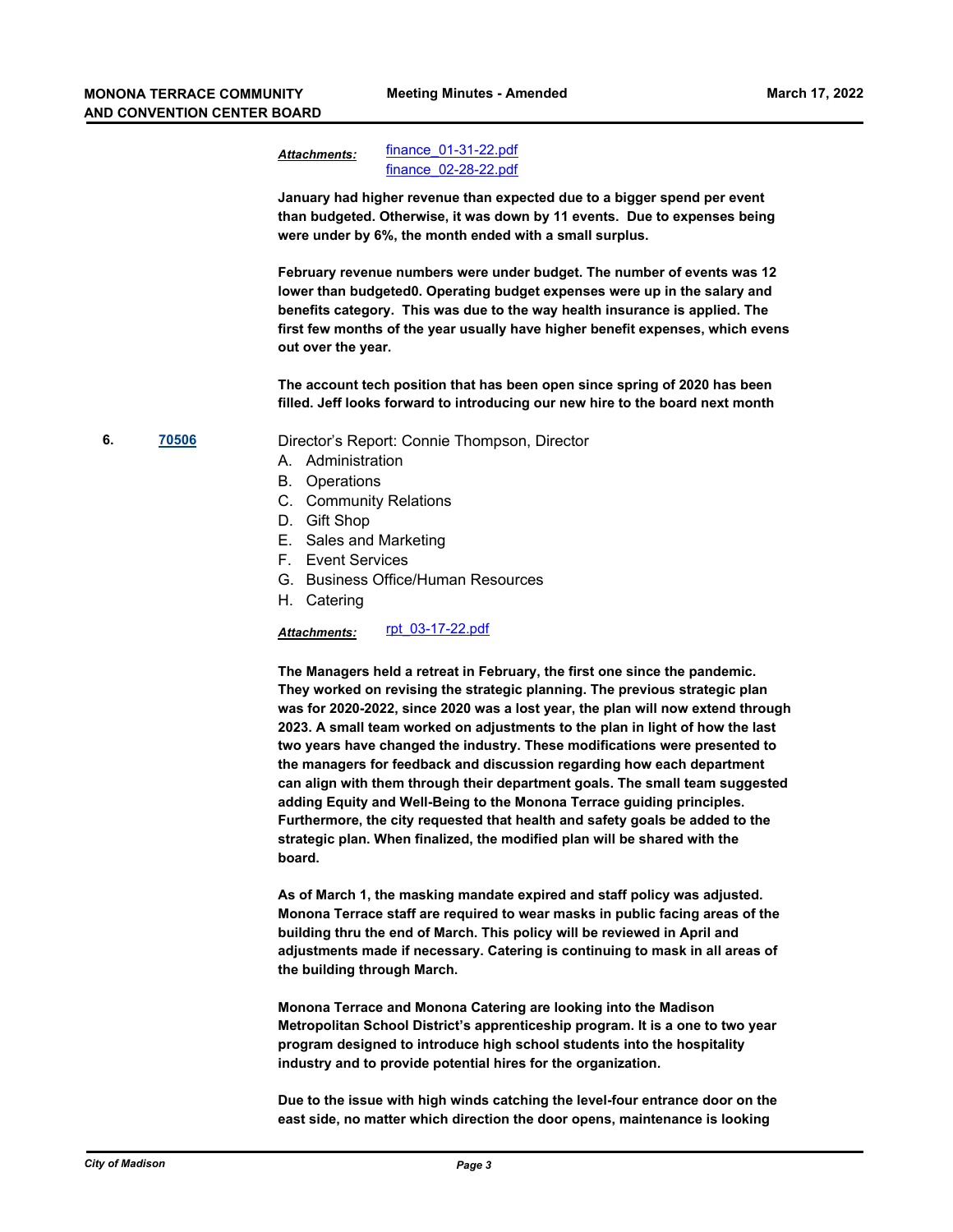[finance\\_01-31-22.pdf](http://madison.legistar.com/gateway.aspx?M=F&ID=619fbd68-0702-44c6-8ad4-9cd85668eff9.pdf) [finance\\_02-28-22.pdf](http://madison.legistar.com/gateway.aspx?M=F&ID=7c7d6973-da4d-4e05-906c-4bb3abfb73f7.pdf) *Attachments:*

**January had higher revenue than expected due to a bigger spend per event than budgeted. Otherwise, it was down by 11 events. Due to expenses being were under by 6%, the month ended with a small surplus.**

**February revenue numbers were under budget. The number of events was 12 lower than budgeted0. Operating budget expenses were up in the salary and benefits category. This was due to the way health insurance is applied. The first few months of the year usually have higher benefit expenses, which evens out over the year.**

**The account tech position that has been open since spring of 2020 has been filled. Jeff looks forward to introducing our new hire to the board next month**

**6. [70506](http://madison.legistar.com/gateway.aspx?m=l&id=/matter.aspx?key=82563)** Director's Report: Connie Thompson, Director

- A. Administration
- B. Operations
- C. Community Relations
- D. Gift Shop
- E. Sales and Marketing
- F. Event Services
- G. Business Office/Human Resources
- H. Catering

Attachments: [rpt\\_03-17-22.pdf](http://madison.legistar.com/gateway.aspx?M=F&ID=da952e71-74c7-41d7-b6d4-08015dc45aee.pdf)

**The Managers held a retreat in February, the first one since the pandemic. They worked on revising the strategic planning. The previous strategic plan was for 2020-2022, since 2020 was a lost year, the plan will now extend through 2023. A small team worked on adjustments to the plan in light of how the last two years have changed the industry. These modifications were presented to the managers for feedback and discussion regarding how each department can align with them through their department goals. The small team suggested adding Equity and Well-Being to the Monona Terrace guiding principles. Furthermore, the city requested that health and safety goals be added to the strategic plan. When finalized, the modified plan will be shared with the board.**

**As of March 1, the masking mandate expired and staff policy was adjusted. Monona Terrace staff are required to wear masks in public facing areas of the building thru the end of March. This policy will be reviewed in April and adjustments made if necessary. Catering is continuing to mask in all areas of the building through March.**

**Monona Terrace and Monona Catering are looking into the Madison Metropolitan School District's apprenticeship program. It is a one to two year program designed to introduce high school students into the hospitality industry and to provide potential hires for the organization.** 

**Due to the issue with high winds catching the level-four entrance door on the east side, no matter which direction the door opens, maintenance is looking**